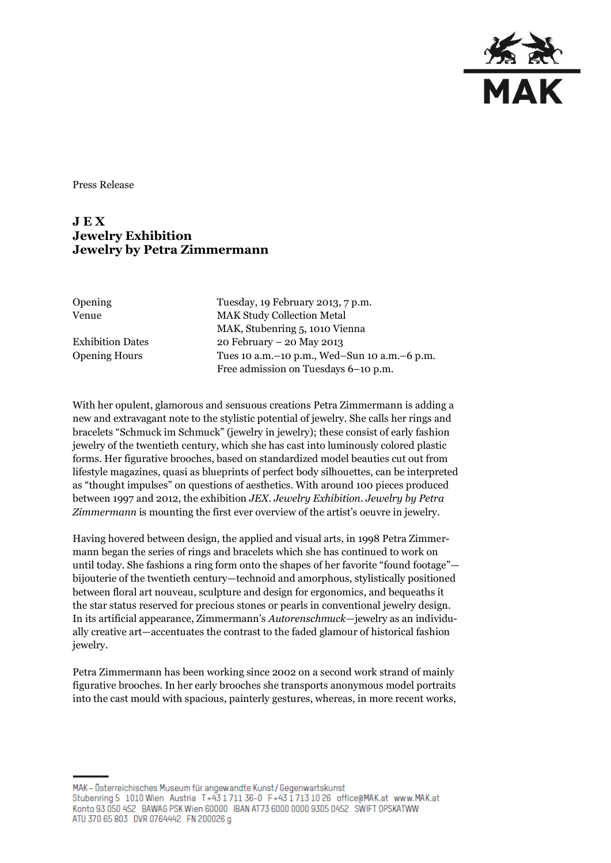

Press Release

## **J E X Jewelry Exhibition Jewelry by Petra Zimmermann**

| Opening |  |
|---------|--|
| Venue   |  |

Tuesday, 19 February 2013, 7 p.m. MAK Study Collection Metal MAK, Stubenring 5, 1010 Vienna Exhibition Dates 20 February – 20 May 2013 Opening Hours Tues 10 a.m.–10 p.m., Wed–Sun 10 a.m.–6 p.m. Free admission on Tuesdays 6–10 p.m.

With her opulent, glamorous and sensuous creations Petra Zimmermann is adding a new and extravagant note to the stylistic potential of jewelry. She calls her rings and bracelets "Schmuck im Schmuck" (jewelry in jewelry); these consist of early fashion jewelry of the twentieth century, which she has cast into luminously colored plastic forms. Her figurative brooches, based on standardized model beauties cut out from lifestyle magazines, quasi as blueprints of perfect body silhouettes, can be interpreted as "thought impulses" on questions of aesthetics. With around 100 pieces produced between 1997 and 2012, the exhibition *JEX. Jewelry Exhibition. Jewelry by Petra Zimmermann* is mounting the first ever overview of the artist's oeuvre in jewelry.

Having hovered between design, the applied and visual arts, in 1998 Petra Zimmermann began the series of rings and bracelets which she has continued to work on until today. She fashions a ring form onto the shapes of her favorite "found footage" bijouterie of the twentieth century—technoid and amorphous, stylistically positioned between floral art nouveau, sculpture and design for ergonomics, and bequeaths it the star status reserved for precious stones or pearls in conventional jewelry design. In its artificial appearance, Zimmermann's *Autorenschmuck—*jewelry as an individually creative art—accentuates the contrast to the faded glamour of historical fashion jewelry.

Petra Zimmermann has been working since 2002 on a second work strand of mainly figurative brooches. In her early brooches she transports anonymous model portraits into the cast mould with spacious, painterly gestures, whereas, in more recent works,

MAK – Österreichisches Museum für angewandte Kunst/Gegenwartskunst Stubenring 5 1010 Wien Austria T+43 1711 36-0 F+43 1713 10 26 office@MAK.at www.MAK.at Konto 93 050 452 BAWAG PSK Wien 60000 IBAN AT73 6000 0000 9305 0452 SWIFT OPSKATWW ATU 370 65 803 DVR 0764442 FN 200026 g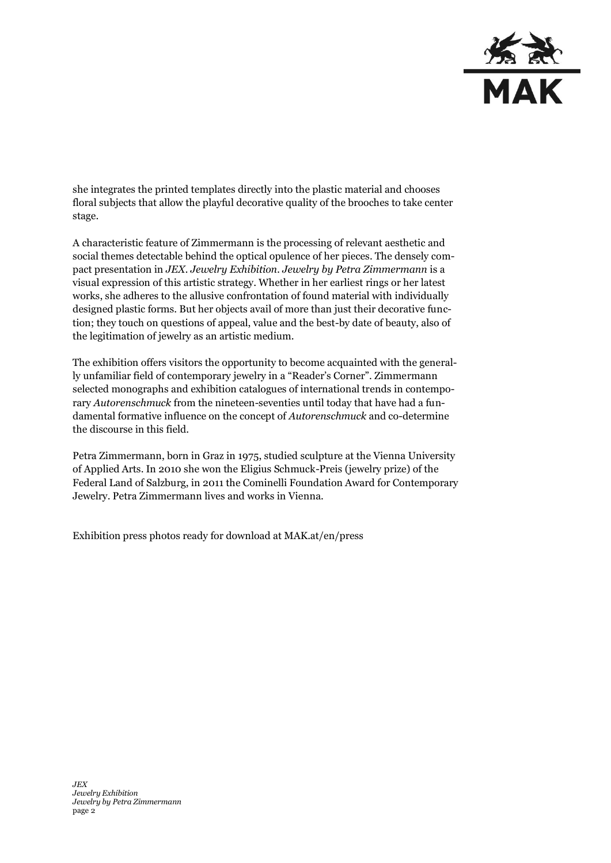

she integrates the printed templates directly into the plastic material and chooses floral subjects that allow the playful decorative quality of the brooches to take center stage.

A characteristic feature of Zimmermann is the processing of relevant aesthetic and social themes detectable behind the optical opulence of her pieces. The densely compact presentation in *JEX. Jewelry Exhibition. Jewelry by Petra Zimmermann* is a visual expression of this artistic strategy. Whether in her earliest rings or her latest works, she adheres to the allusive confrontation of found material with individually designed plastic forms. But her objects avail of more than just their decorative function; they touch on questions of appeal, value and the best-by date of beauty, also of the legitimation of jewelry as an artistic medium.

The exhibition offers visitors the opportunity to become acquainted with the generally unfamiliar field of contemporary jewelry in a "Reader's Corner". Zimmermann selected monographs and exhibition catalogues of international trends in contemporary *Autorenschmuck* from the nineteen-seventies until today that have had a fundamental formative influence on the concept of *Autorenschmuck* and co-determine the discourse in this field.

Petra Zimmermann, born in Graz in 1975, studied sculpture at the Vienna University of Applied Arts. In 2010 she won the Eligius Schmuck-Preis (jewelry prize) of the Federal Land of Salzburg, in 2011 the Cominelli Foundation Award for Contemporary Jewelry. Petra Zimmermann lives and works in Vienna.

Exhibition press photos ready for download at MAK.at/en/press